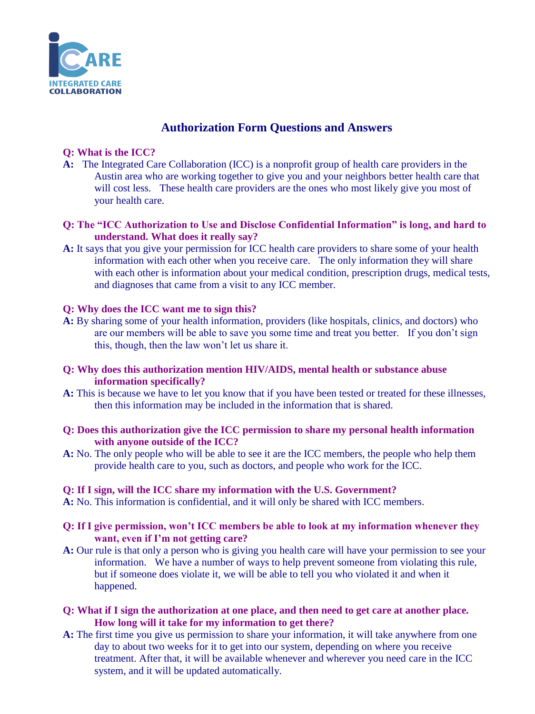

# **Authorization Form Questions and Answers**

# **Q: What is the ICC?**

**A:** The Integrated Care Collaboration (ICC) is a nonprofit group of health care providers in the Austin area who are working together to give you and your neighbors better health care that will cost less. These health care providers are the ones who most likely give you most of your health care.

# **Q: The "ICC Authorization to Use and Disclose Confidential Information" is long, and hard to understand. What does it really say?**

**A:** It says that you give your permission for ICC health care providers to share some of your health information with each other when you receive care. The only information they will share with each other is information about your medical condition, prescription drugs, medical tests, and diagnoses that came from a visit to any ICC member.

## **Q: Why does the ICC want me to sign this?**

- **A:** By sharing some of your health information, providers (like hospitals, clinics, and doctors) who are our members will be able to save you some time and treat you better. If you don't sign this, though, then the law won't let us share it.
- **Q: Why does this authorization mention HIV/AIDS, mental health or substance abuse information specifically?**
- **A:** This is because we have to let you know that if you have been tested or treated for these illnesses, then this information may be included in the information that is shared.
- **Q: Does this authorization give the ICC permission to share my personal health information with anyone outside of the ICC?**
- **A:** No. The only people who will be able to see it are the ICC members, the people who help them provide health care to you, such as doctors, and people who work for the ICC.

#### **Q: If I sign, will the ICC share my information with the U.S. Government?**

**A:** No. This information is confidential, and it will only be shared with ICC members.

## **Q: If I give permission, won't ICC members be able to look at my information whenever they want, even if I'm not getting care?**

- **A:** Our rule is that only a person who is giving you health care will have your permission to see your information. We have a number of ways to help prevent someone from violating this rule, but if someone does violate it, we will be able to tell you who violated it and when it happened.
- **Q: What if I sign the authorization at one place, and then need to get care at another place. How long will it take for my information to get there?**
- **A:** The first time you give us permission to share your information, it will take anywhere from one day to about two weeks for it to get into our system, depending on where you receive treatment. After that, it will be available whenever and wherever you need care in the ICC system, and it will be updated automatically.